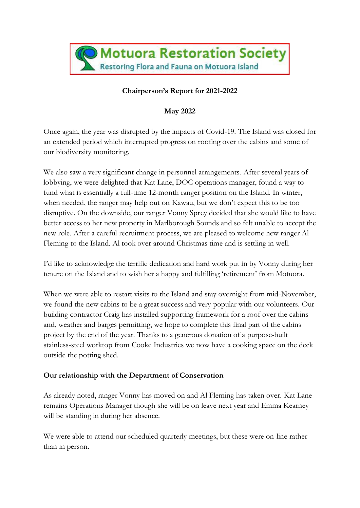

# **Chairperson's Report for 2021-2022**

## **May 2022**

Once again, the year was disrupted by the impacts of Covid-19. The Island was closed for an extended period which interrupted progress on roofing over the cabins and some of our biodiversity monitoring.

We also saw a very significant change in personnel arrangements. After several years of lobbying, we were delighted that Kat Lane, DOC operations manager, found a way to fund what is essentially a full-time 12-month ranger position on the Island. In winter, when needed, the ranger may help out on Kawau, but we don't expect this to be too disruptive. On the downside, our ranger Vonny Sprey decided that she would like to have better access to her new property in Marlborough Sounds and so felt unable to accept the new role. After a careful recruitment process, we are pleased to welcome new ranger Al Fleming to the Island. Al took over around Christmas time and is settling in well.

I'd like to acknowledge the terrific dedication and hard work put in by Vonny during her tenure on the Island and to wish her a happy and fulfilling 'retirement' from Motuora.

When we were able to restart visits to the Island and stay overnight from mid-November, we found the new cabins to be a great success and very popular with our volunteers. Our building contractor Craig has installed supporting framework for a roof over the cabins and, weather and barges permitting, we hope to complete this final part of the cabins project by the end of the year. Thanks to a generous donation of a purpose-built stainless-steel worktop from Cooke Industries we now have a cooking space on the deck outside the potting shed.

### **Our relationship with the Department of Conservation**

As already noted, ranger Vonny has moved on and Al Fleming has taken over. Kat Lane remains Operations Manager though she will be on leave next year and Emma Kearney will be standing in during her absence.

We were able to attend our scheduled quarterly meetings, but these were on-line rather than in person.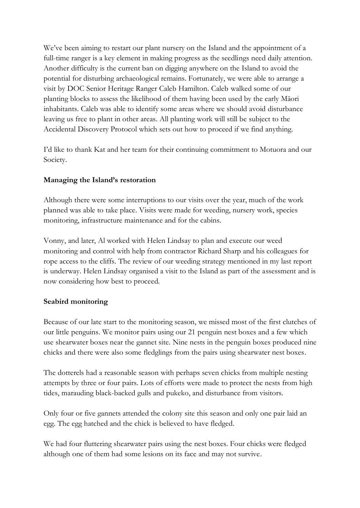We've been aiming to restart our plant nursery on the Island and the appointment of a full-time ranger is a key element in making progress as the seedlings need daily attention. Another difficulty is the current ban on digging anywhere on the Island to avoid the potential for disturbing archaeological remains. Fortunately, we were able to arrange a visit by DOC Senior Heritage Ranger Caleb Hamilton. Caleb walked some of our planting blocks to assess the likelihood of them having been used by the early Māori inhabitants. Caleb was able to identify some areas where we should avoid disturbance leaving us free to plant in other areas. All planting work will still be subject to the Accidental Discovery Protocol which sets out how to proceed if we find anything.

I'd like to thank Kat and her team for their continuing commitment to Motuora and our Society.

### **Managing the Island's restoration**

Although there were some interruptions to our visits over the year, much of the work planned was able to take place. Visits were made for weeding, nursery work, species monitoring, infrastructure maintenance and for the cabins.

Vonny, and later, Al worked with Helen Lindsay to plan and execute our weed monitoring and control with help from contractor Richard Sharp and his colleagues for rope access to the cliffs. The review of our weeding strategy mentioned in my last report is underway. Helen Lindsay organised a visit to the Island as part of the assessment and is now considering how best to proceed.

#### **Seabird monitoring**

Because of our late start to the monitoring season, we missed most of the first clutches of our little penguins. We monitor pairs using our 21 penguin nest boxes and a few which use shearwater boxes near the gannet site. Nine nests in the penguin boxes produced nine chicks and there were also some fledglings from the pairs using shearwater nest boxes.

The dotterels had a reasonable season with perhaps seven chicks from multiple nesting attempts by three or four pairs. Lots of efforts were made to protect the nests from high tides, marauding black-backed gulls and pukeko, and disturbance from visitors.

Only four or five gannets attended the colony site this season and only one pair laid an egg. The egg hatched and the chick is believed to have fledged.

We had four fluttering shearwater pairs using the nest boxes. Four chicks were fledged although one of them had some lesions on its face and may not survive.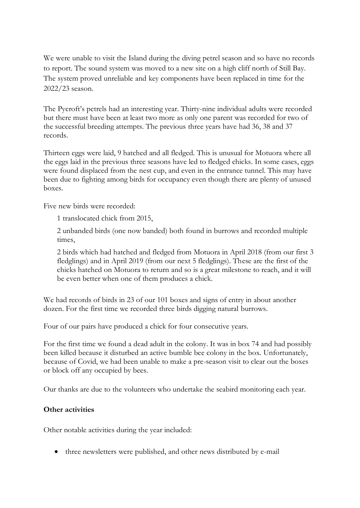We were unable to visit the Island during the diving petrel season and so have no records to report. The sound system was moved to a new site on a high cliff north of Still Bay. The system proved unreliable and key components have been replaced in time for the 2022/23 season.

The Pycroft's petrels had an interesting year. Thirty-nine individual adults were recorded but there must have been at least two more as only one parent was recorded for two of the successful breeding attempts. The previous three years have had 36, 38 and 37 records.

Thirteen eggs were laid, 9 hatched and all fledged. This is unusual for Motuora where all the eggs laid in the previous three seasons have led to fledged chicks. In some cases, eggs were found displaced from the nest cup, and even in the entrance tunnel. This may have been due to fighting among birds for occupancy even though there are plenty of unused boxes.

Five new birds were recorded:

1 translocated chick from 2015,

2 unbanded birds (one now banded) both found in burrows and recorded multiple times,

2 birds which had hatched and fledged from Motuora in April 2018 (from our first 3 fledglings) and in April 2019 (from our next 5 fledglings). These are the first of the chicks hatched on Motuora to return and so is a great milestone to reach, and it will be even better when one of them produces a chick.

We had records of birds in 23 of our 101 boxes and signs of entry in about another dozen. For the first time we recorded three birds digging natural burrows.

Four of our pairs have produced a chick for four consecutive years.

For the first time we found a dead adult in the colony. It was in box 74 and had possibly been killed because it disturbed an active bumble bee colony in the box. Unfortunately, because of Covid, we had been unable to make a pre-season visit to clear out the boxes or block off any occupied by bees.

Our thanks are due to the volunteers who undertake the seabird monitoring each year.

#### **Other activities**

Other notable activities during the year included:

• three newsletters were published, and other news distributed by e-mail